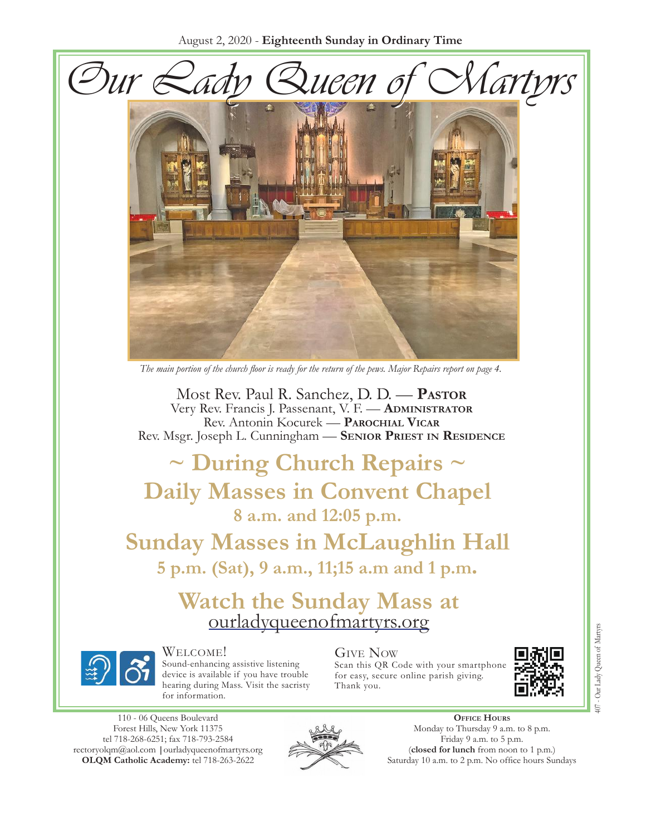August 2, 2020 - **Eighteenth Sunday in Ordinary Time**





*The main portion of the church floor is ready for the return of the pews. Major Repairs report on page 4.*

Most Rev. Paul R. Sanchez, D. D. — **Pastor** Very Rev. Francis J. Passenant, V. F. — **Administrator** Rev. Antonin Kocurek — **Parochial Vicar** Rev. Msgr. Joseph L. Cunningham — **Senior Priest in Residence**

# **~ During Church Repairs ~ Daily Masses in Convent Chapel 8 a.m. and 12:05 p.m.**

# **Sunday Masses in McLaughlin Hall 5 p.m. (Sat), 9 a.m., 11;15 a.m and 1 p.m.**

# Watch the Sunday Mass at [ourladyqueenofmartyrs.org](https://ourladyqueenofmartyrs.org/)



### Welcome!

Sound-enhancing assistive listening device is available if you have trouble hearing during Mass. Visit the sacristy for information.

#### 110 - 06 Queens Boulevard Forest Hills, New York 11375 [tel 718-268-625](mailto:rectoryolqm@aol.com)[1; fax 718-793-2584](www.ourladyqueenofmartyrs.org) rectoryolqm@aol.com **|**ourladyqueenofmartyrs.org **OLQM Catholic Academy:** tel 718-263-2622



Give Now Scan this QR Code with your smartphone for easy, secure online parish giving. Thank you.



**Office Hours** Monday to Thursday 9 a.m. to 8 p.m. Friday 9 a.m. to 5 p.m. (**closed for lunch** from noon to 1 p.m.) Saturday 10 a.m. to 2 p.m. No office hours Sundays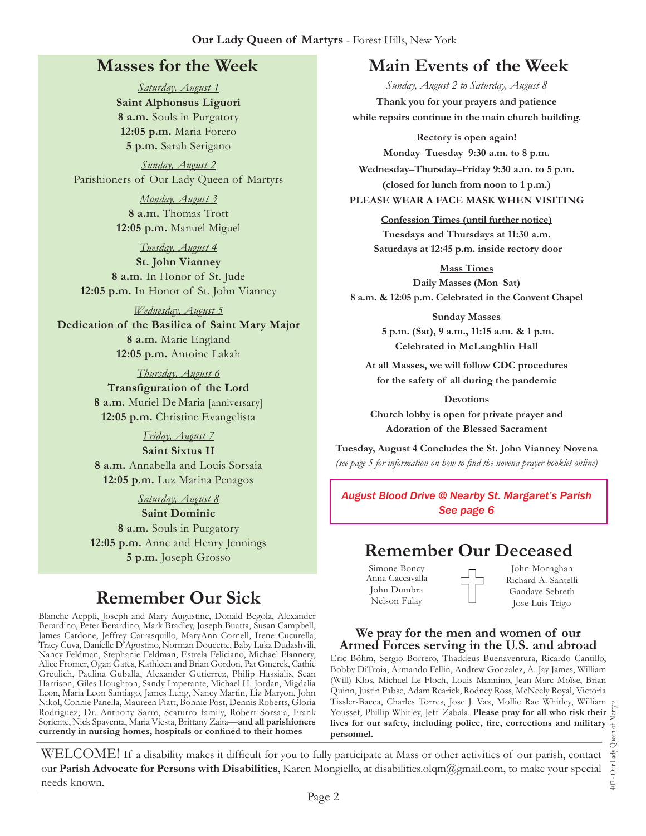### **Our Lady Queen of Martyrs** - Forest Hills, New York

## **Masses for the Week**

*Saturday, August 1* **Saint Alphonsus Liguori 8 a.m.** Souls in Purgatory **12:05 p.m.** Maria Forero **5 p.m.** Sarah Serigano

*Sunday, August 2* Parishioners of Our Lady Queen of Martyrs

> *Monday, August 3* **8 a.m.** Thomas Trott **12:05 p.m.** Manuel Miguel

*Tuesday, August 4* **St. John Vianney 8 a.m.** In Honor of St. Jude **12:05 p.m.** In Honor of St. John Vianney

*Wednesday, August 5* **Dedication of the Basilica of Saint Mary Major 8 a.m.** Marie England **12:05 p.m.** Antoine Lakah

> *Thursday, August 6* **Transfiguration of the Lord 8 a.m.** Muriel De Maria [anniversary] **12:05 p.m.** Christine Evangelista

### *Friday, August 7*

**Saint Sixtus II 8 a.m.** Annabella and Louis Sorsaia **12:05 p.m.** Luz Marina Penagos

> *Saturday, August 8* **Saint Dominic 8 a.m.** Souls in Purgatory

**12:05 p.m.** Anne and Henry Jennings

## **Remember Our Sick**

Blanche Aeppli, Joseph and Mary Augustine, Donald Begola, Alexander Berardino, Peter Berardino, Mark Bradley, Joseph Buatta, Susan Campbell, James Cardone, Jeffrey Carrasquillo, MaryAnn Cornell, Irene Cucurella, Tracy Cuva, Danielle D'Agostino, Norman Doucette, Baby Luka Dudashvili, Nancy Feldman, Stephanie Feldman, Estrela Feliciano, Michael Flannery, Alice Fromer, Ogan Gates, Kathleen and Brian Gordon, Pat Gmerek, Cathie Greulich, Paulina Guballa, Alexander Gutierrez, Philip Hassialis, Sean Harrison, Giles Houghton, Sandy Imperante, Michael H. Jordan, Migdalia Leon, Maria Leon Santiago, James Lung, Nancy Martin, Liz Maryon, John Nikol, Connie Panella, Maureen Piatt, Bonnie Post, Dennis Roberts, Gloria Rodriguez, Dr. Anthony Sarro, Scaturro family, Robert Sorsaia, Frank Soriente, Nick Spaventa, Maria Viesta, Brittany Zaita—**and all parishioners currently in nursing homes, hospitals or confined to their homes**

## **Main Events of the Week**

*Sunday, August 2 to Saturday, August 8* **Thank you for your prayers and patience while repairs continue in the main church building.**

#### **Rectory is open again!**

**Monday**–**Tuesday 9:30 a.m. to 8 p.m. Wednesday**–**Thursday**–**Friday 9:30 a.m. to 5 p.m. (closed for lunch from noon to 1 p.m.)**

### **PLEASE WEAR A FACE MASK WHEN VISITING**

**Confession Times (until further notice) Tuesdays and Thursdays at 11:30 a.m. Saturdays at 12:45 p.m. inside rectory door** 

**Mass Times Daily Masses (Mon**–**Sat) 8 a.m. & 12:05 p.m. Celebrated in the Convent Chapel**

> **Sunday Masses 5 p.m. (Sat), 9 a.m., 11:15 a.m. & 1 p.m. Celebrated in McLaughlin Hall**

**At all Masses, we will follow CDC procedures for the safety of all during the pandemic**

**Devotions Church lobby is open for private prayer and Adoration of the Blessed Sacrament**

**Tuesday, August 4 Concludes the St. John Vianney Novena**  *(see page 5 for information on how to find the novena prayer booklet online)*

*August Blood Drive @ Nearby St. Margaret's Parish See page 6*

## **5 p.m.** Joseph Grosso **Remember Our Deceased**

Simone Boncy Anna Caccavalla John Dumbra Nelson Fulay

John Monaghan Richard A. Santelli Gandaye Sebreth Jose Luis Trigo

### **We pray for the men and women of our Armed Forces serving in the U.S. and abroad**

Eric Böhm, Sergio Borrero, Thaddeus Buenaventura, Ricardo Cantillo, Bobby DiTroia, Armando Fellin, Andrew Gonzalez, A. Jay James, William (Will) Klos, Michael Le Floch, Louis Mannino, Jean-Marc Moïse, Brian Quinn, Justin Pabse, Adam Rearick, Rodney Ross, McNeely Royal, Victoria Tissler-Bacca, Charles Torres, Jose J. Vaz, Mollie Rae Whitley, William Youssef, Phillip Whitley, Jeff Zabala. **Please pray for all who risk their lives for our safety, including police, fire, corrections and military personnel.**

407 - Our Lady Queen of Martyrs Our Lady  $\overline{407}$ .

WELCOME! If a disability makes it difficult for you to fully participate at Mass or other activities of our parish, contact our **Parish Advocate for Persons with Disabilities**, Karen Mongiello, at [disabilities.olqm@gmail.com](mailto:disabilities.olqm@gmail.com), to make your special needs known.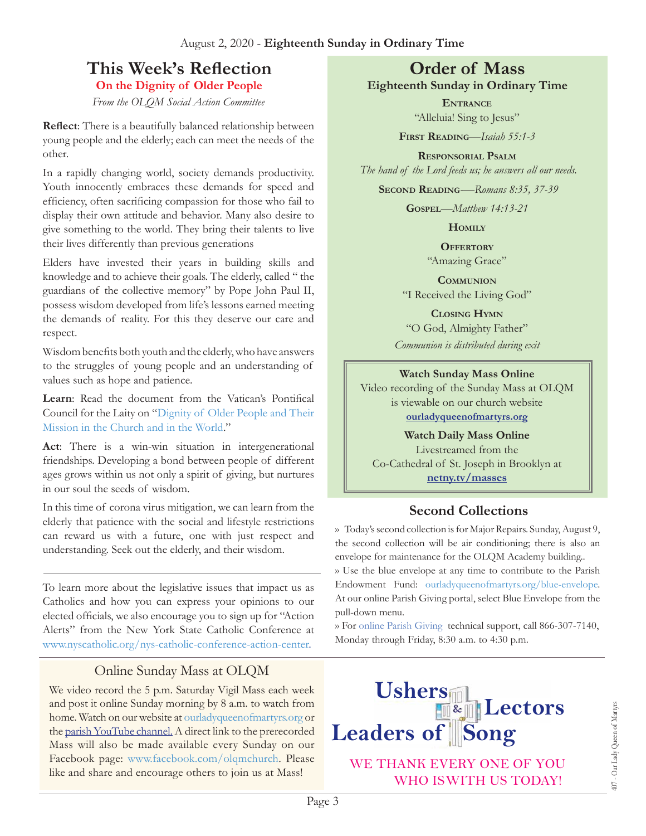# **This Week's Reflection**

**On the Dignity of Older People** 

*From the OLQM Social Action Committee* 

**Reflect**: There is a beautifully balanced relationship between young people and the elderly; each can meet the needs of the other.

In a rapidly changing world, society demands productivity. Youth innocently embraces these demands for speed and efficiency, often sacrificing compassion for those who fail to display their own attitude and behavior. Many also desire to give something to the world. They bring their talents to live their lives differently than previous generations

Elders have invested their years in building skills and knowledge and to achieve their goals. The elderly, called " the guardians of the collective memory" by Pope John Paul II, possess wisdom developed from life's lessons earned meeting the demands of reality. For this they deserve our care and respect.

Wisdom benefits both youth and the elderly, who have answers to the struggles of young people and an understanding of values such as hope and patience.

**Learn**: Read the document from the Vatican's Pontifical Council for the Laity on ["Dignity of Older People and Their](https://bit.ly/3fPb26U)  [Mission in the Church and in the World.](https://bit.ly/3fPb26U)"

**Act**: There is a win-win situation in intergenerational friendships. Developing a bond between people of different ages grows within us not only a spirit of giving, but nurtures in our soul the seeds of wisdom.

In this time of corona virus mitigation, we can learn from the elderly that patience with the social and lifestyle restrictions can reward us with a future, one with just respect and understanding. Seek out the elderly, and their wisdom.

To learn more about the legislative issues that impact us as Catholics and how you can express your opinions to our elected officials, we also encourage you to sign up for "Action Alerts" from the New York State Catholic Conference at [www.nyscatholic.org/nys-catholic-conference-action-center.](https://www.nyscatholic.org/nys-catholic-conference-action-center)

### Online Sunday Mass at OLQM

We video record the 5 p.m. Saturday Vigil Mass each week and post it online Sunday morning by 8 a.m. to watch from home. Watch on our website at [ourladyqueenofmartyrs.org](https://ourladyqueenofmartyrs.org/) or the [parish YouTube channel](https://www.youtube.com/user/OLQMStewardship/videos?view=0&sort=dd&shelf_id=2). A direct link to the prerecorded Mass will also be made available every Sunday on our Facebook page: [www.facebook.com/olqmchurch](https://www.facebook.com/OLQMChurch/). Please like and share and encourage others to join us at Mass!

## **Order of Mass**

**Eighteenth Sunday in Ordinary Time**

**Entrance** "Alleluia! Sing to Jesus"

**First Reading***—Isaiah 55:1-3* 

**Responsorial Psalm**

 *The hand of the Lord feeds us; he answers all our needs.*

**Second Reading***-—Romans 8:35, 37-39* 

**Gospel***—Matthew 14:13-21*

**Homily**

**Offertory** "Amazing Grace"

**Communion** "I Received the Living God"

**Closing Hymn** "O God, Almighty Father" *Communion is distributed during exit* 

## **Watch Sunday Mass Online**

Video recording of the Sunday Mass at OLQM is viewable on our church website **[ourladyqueenofmartyrs.org](https://ourladyqueenofmartyrs.org)**

**Watch Daily Mass Online** 

Livestreamed from the Co-Cathedral of St. Joseph in Brooklyn at **[netny.tv/masses](https://netny.tv/masses/)**

## **Second Collections**

›› Today's second collection is for Major Repairs. Sunday, August 9, the second collection will be air conditioning; there is also an envelope for maintenance for the OLQM Academy building..

›› Use the blue envelope at any time to contribute to the Parish Endowment Fund: [ourladyqueenofmartyrs.org/blue-envelope.](https://ourladyqueenofmartyrs.org/blue-envelope/) At our online Parish Giving portal, select Blue Envelope from the pull-down menu.

›› For [online Parish Giving](https://ourladyqueenofmartyrs.org/parish-giving/) technical support, call 866-307-7140, Monday through Friday, 8:30 a.m. to 4:30 p.m.



WHO ISWITH US TODAY!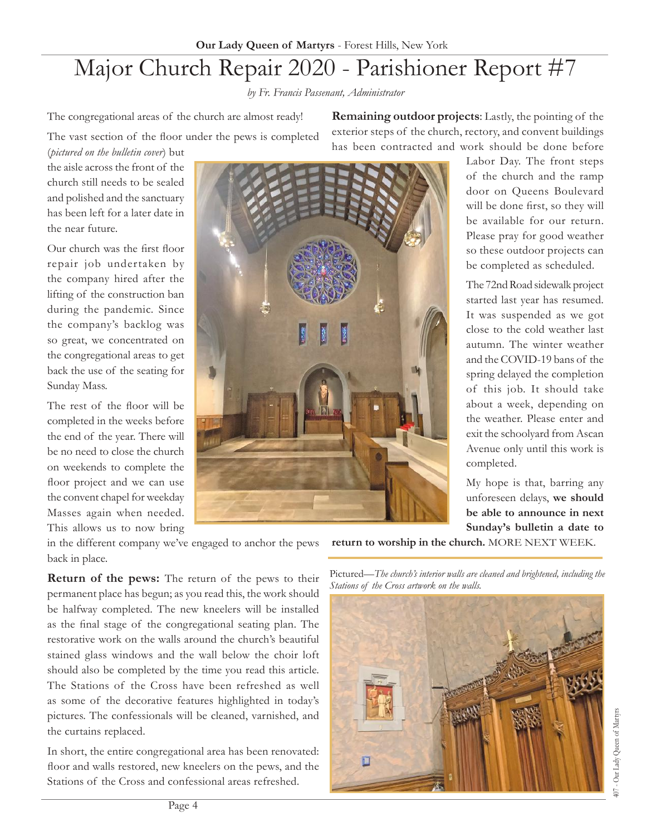# Major Church Repair 2020 - Parishioner Report #7

*by Fr. Francis Passenant, Administrator*

The congregational areas of the church are almost ready!

The vast section of the floor under the pews is completed

**Remaining outdoor projects**: Lastly, the pointing of the exterior steps of the church, rectory, and convent buildings has been contracted and work should be done before

(*pictured on the bulletin cover*) but the aisle across the front of the church still needs to be sealed and polished and the sanctuary has been left for a later date in the near future.

Our church was the first floor repair job undertaken by the company hired after the lifting of the construction ban during the pandemic. Since the company's backlog was so great, we concentrated on the congregational areas to get back the use of the seating for Sunday Mass.

The rest of the floor will be completed in the weeks before the end of the year. There will be no need to close the church on weekends to complete the floor project and we can use the convent chapel for weekday Masses again when needed. This allows us to now bring



Labor Day. The front steps of the church and the ramp door on Queens Boulevard will be done first, so they will be available for our return. Please pray for good weather so these outdoor projects can be completed as scheduled.

The 72nd Road sidewalk project started last year has resumed. It was suspended as we got close to the cold weather last autumn. The winter weather and the COVID-19 bans of the spring delayed the completion of this job. It should take about a week, depending on the weather. Please enter and exit the schoolyard from Ascan Avenue only until this work is completed.

My hope is that, barring any unforeseen delays, **we should be able to announce in next Sunday's bulletin a date to** 

in the different company we've engaged to anchor the pews back in place.

**Return of the pews:** The return of the pews to their permanent place has begun; as you read this, the work should be halfway completed. The new kneelers will be installed as the final stage of the congregational seating plan. The restorative work on the walls around the church's beautiful stained glass windows and the wall below the choir loft should also be completed by the time you read this article. The Stations of the Cross have been refreshed as well as some of the decorative features highlighted in today's pictures. The confessionals will be cleaned, varnished, and the curtains replaced.

In short, the entire congregational area has been renovated: floor and walls restored, new kneelers on the pews, and the Stations of the Cross and confessional areas refreshed.

**return to worship in the church.** MORE NEXT WEEK.

Pictured—*The church's interior walls are cleaned and brightened, including the Stations of the Cross artwork on the walls.* 

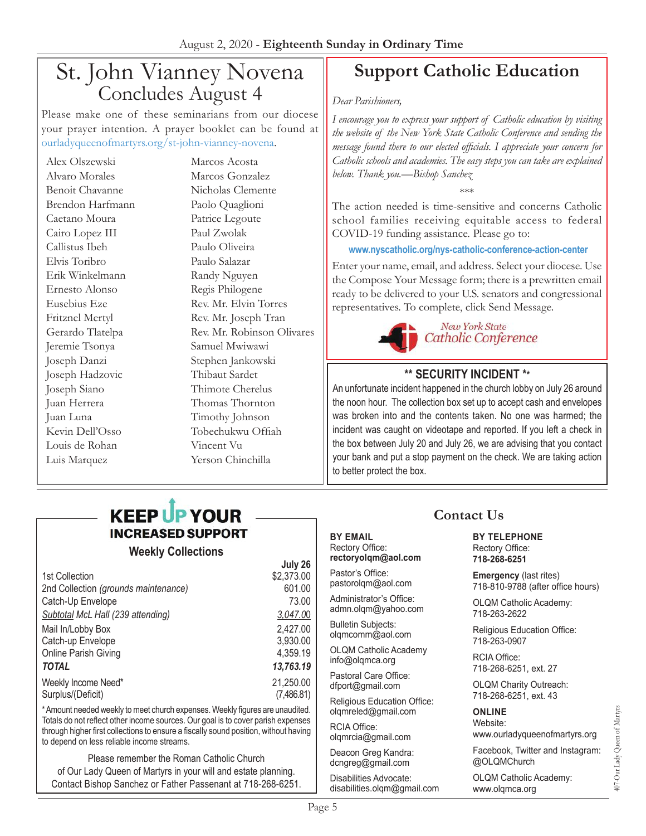# St. John Vianney Novena Concludes August 4

Please make one of these seminarians from our diocese your prayer intention. A prayer booklet can be found at [ourladyqueenofmartyrs.org/st-john-vianney-novena.](https://ourladyqueenofmartyrs.org/st-john-vianney-novena/)

Alex Olszewski Alvaro Morales Benoit Chavanne Brendon Harfmann Caetano Moura Cairo Lopez III Callistus Ibeh Elvis Toribro Erik Winkelmann Ernesto Alonso Eusebius Eze Fritznel Mertyl Gerardo Tlatelpa Jeremie Tsonya Joseph Danzi Joseph Hadzovic Joseph Siano Juan Herrera Juan Luna Kevin Dell'Osso Louis de Rohan Luis Marquez

Marcos Acosta Marcos Gonzalez Nicholas Clemente Paolo Quaglioni Patrice Legoute Paul Zwolak Paulo Oliveira Paulo Salazar Randy Nguyen Regis Philogene Rev. Mr. Elvin Torres Rev. Mr. Joseph Tran Rev. Mr. Robinson Olivares Samuel Mwiwawi Stephen Jankowski Thibaut Sardet Thimote Cherelus Thomas Thornton Timothy Johnson Tobechukwu Offiah Vincent Vu Yerson Chinchilla

## **Support Catholic Education**

### *Dear Parishioners,*

*I encourage you to express your support of Catholic education by visiting the website of the New York State Catholic Conference and sending the message found there to our elected officials. I appreciate your concern for Catholic schools and academies. The easy steps you can take are explained below. Thank you.—Bishop Sanchez* 

\*\*\* The action needed is time-sensitive and concerns Catholic school families receiving equitable access to federal COVID-19 funding assistance. Please go to:

**[www.nyscatholic.org/nys-catholic-conference-action-center](http://www.votervoice.net/Shares/Bru8jAhdACJlSAayUsW7FBA)**

Enter your name, email, and address. Select your diocese. Use the Compose Your Message form; there is a prewritten email ready to be delivered to your U.S. senators and congressional representatives. To complete, click Send Message.



### **\*\* SECURITY INCIDENT \*\***

An unfortunate incident happened in the church lobby on July 26 around the noon hour. The collection box set up to accept cash and envelopes was broken into and the contents taken. No one was harmed; the incident was caught on videotape and reported. If you left a check in the box between July 20 and July 26, we are advising that you contact your bank and put a stop payment on the check. We are taking action to better protect the box.

# **KEEP UP YOUR INCREASED SUPPORT**

### **Weekly Collections**

|                                      | July 26    |
|--------------------------------------|------------|
| 1st Collection                       | \$2,373.00 |
| 2nd Collection (grounds maintenance) | 601.00     |
| Catch-Up Envelope                    | 73.00      |
| Subtotal McL Hall (239 attending)    | 3,047.00   |
| Mail In/Lobby Box                    | 2,427.00   |
| Catch-up Envelope                    | 3,930.00   |
| Online Parish Giving                 | 4,359.19   |
| <b>TOTAL</b>                         | 13,763.19  |
| Weekly Income Need*                  | 21,250.00  |
| Surplus/(Deficit)                    | (7,486.81) |

\* Amount needed weekly to meet church expenses. Weekly figures are unaudited. Totals do not reflect other income sources. Our goal is to cover parish expenses through higher first collections to ensure a fiscally sound position, without having to depend on less reliable income streams.

Please remember the Roman Catholic Church of Our Lady Queen of Martyrs in your will and estate planning. Contact Bishop Sanchez or Father Passenant at 718-268-6251.

## **BY EMAIL**

Rectory Office: **rectoryolqm@aol.com**

Pastor's Office: pastorolqm@aol.com

Administrator's Office: admn.olqm@yahoo.com

Bulletin Subjects: olqmcomm@aol.com

OLQM Catholic Academy info@olqmca.org

Pastoral Care Office: dfport@gmail.com

Religious Education Office: olqmreled@gmail.com

RCIA Office: olqmrcia@gmail.com

Deacon Greg Kandra: dcngreg@gmail.com

Disabilities Advocate: disabilities.olqm@gmail.com

## **Contact Us**

**BY TELEPHONE** Rectory Office: **718-268-6251**

**Emergency** (last rites) 718-810-9788 (after office hours)

OLQM Catholic Academy: 718-263-2622

Religious Education Office: 718-263-0907

RCIA Office: 718-268-6251, ext. 27

OLQM Charity Outreach: 718-268-6251, ext. 43

## **ONLINE**

Website: www.ourladyqueenofmartyrs.org

Facebook, Twitter and Instagram: @OLQMChurch

OLQM Catholic Academy: www.olqmca.org